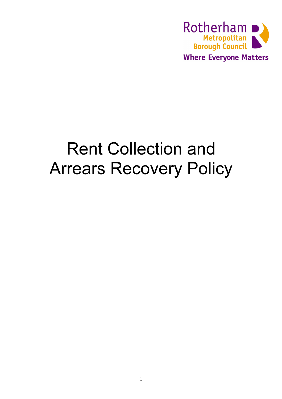

# Rent Collection and Arrears Recovery Policy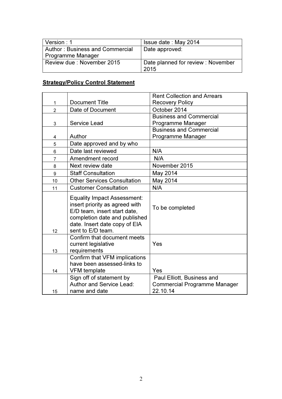| Version : 1                     | Issue date: May 2014               |
|---------------------------------|------------------------------------|
| Author: Business and Commercial | Date approved:                     |
| Programme Manager               |                                    |
| Review due : November 2015      | Date planned for review : November |
|                                 | 2015                               |

# **Strategy/Policy Control Statement**

|                |                                                                                                                                                                                             | <b>Rent Collection and Arrears</b>                                            |
|----------------|---------------------------------------------------------------------------------------------------------------------------------------------------------------------------------------------|-------------------------------------------------------------------------------|
| 1              | <b>Document Title</b>                                                                                                                                                                       | <b>Recovery Policy</b>                                                        |
| $\overline{2}$ | Date of Document                                                                                                                                                                            | October 2014                                                                  |
|                |                                                                                                                                                                                             | <b>Business and Commercial</b>                                                |
| 3              | <b>Service Lead</b>                                                                                                                                                                         | Programme Manager                                                             |
|                |                                                                                                                                                                                             | <b>Business and Commercial</b>                                                |
| 4              | Author                                                                                                                                                                                      | Programme Manager                                                             |
| 5              | Date approved and by who                                                                                                                                                                    |                                                                               |
| 6              | Date last reviewed                                                                                                                                                                          | N/A                                                                           |
| $\overline{7}$ | Amendment record                                                                                                                                                                            | N/A                                                                           |
| 8              | Next review date                                                                                                                                                                            | November 2015                                                                 |
| 9              | <b>Staff Consultation</b>                                                                                                                                                                   | May 2014                                                                      |
| 10             | <b>Other Services Consultation</b>                                                                                                                                                          | May 2014                                                                      |
| 11             | <b>Customer Consultation</b>                                                                                                                                                                | N/A                                                                           |
| 12             | <b>Equality Impact Assessment:</b><br>insert priority as agreed with<br>E/D team, insert start date,<br>completion date and published<br>date. Insert date copy of EIA<br>sent to E/D team. | To be completed                                                               |
| 13             | Confirm that document meets<br>current legislative<br>requirements                                                                                                                          | Yes                                                                           |
| 14             | Confirm that VFM implications<br>have been assessed-links to<br><b>VFM</b> template                                                                                                         | Yes                                                                           |
| 15             | Sign off of statement by<br><b>Author and Service Lead:</b><br>name and date                                                                                                                | Paul Elliott, Business and<br><b>Commercial Programme Manager</b><br>22.10.14 |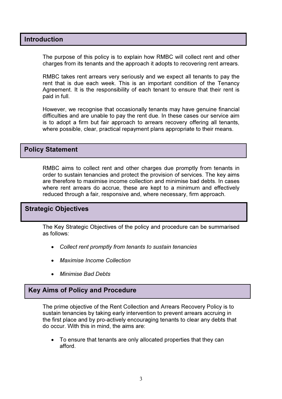# Introduction

The purpose of this policy is to explain how RMBC will collect rent and other charges from its tenants and the approach it adopts to recovering rent arrears.

RMBC takes rent arrears very seriously and we expect all tenants to pay the rent that is due each week. This is an important condition of the Tenancy Agreement. It is the responsibility of each tenant to ensure that their rent is paid in full.

However, we recognise that occasionally tenants may have genuine financial difficulties and are unable to pay the rent due. In these cases our service aim is to adopt a firm but fair approach to arrears recovery offering all tenants, where possible, clear, practical repayment plans appropriate to their means.

# Policy Statement

RMBC aims to collect rent and other charges due promptly from tenants in order to sustain tenancies and protect the provision of services. The key aims are therefore to maximise income collection and minimise bad debts. In cases where rent arrears do accrue, these are kept to a minimum and effectively reduced through a fair, responsive and, where necessary, firm approach.

# Strategic Objectives

The Key Strategic Objectives of the policy and procedure can be summarised as follows:

- Collect rent promptly from tenants to sustain tenancies
- Maximise Income Collection
- Minimise Bad Debts

# Key Aims of Policy and Procedure

The prime objective of the Rent Collection and Arrears Recovery Policy is to sustain tenancies by taking early intervention to prevent arrears accruing in the first place and by pro-actively encouraging tenants to clear any debts that do occur. With this in mind, the aims are:

• To ensure that tenants are only allocated properties that they can afford.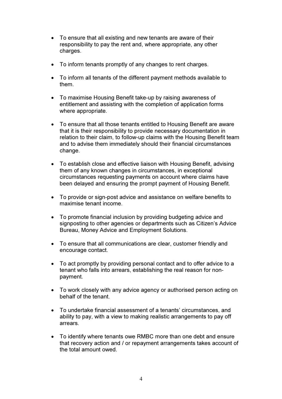- To ensure that all existing and new tenants are aware of their responsibility to pay the rent and, where appropriate, any other charges.
- To inform tenants promptly of any changes to rent charges.
- To inform all tenants of the different payment methods available to them.
- To maximise Housing Benefit take-up by raising awareness of entitlement and assisting with the completion of application forms where appropriate.
- To ensure that all those tenants entitled to Housing Benefit are aware that it is their responsibility to provide necessary documentation in relation to their claim, to follow-up claims with the Housing Benefit team and to advise them immediately should their financial circumstances change.
- To establish close and effective liaison with Housing Benefit, advising them of any known changes in circumstances, in exceptional circumstances requesting payments on account where claims have been delayed and ensuring the prompt payment of Housing Benefit.
- To provide or sign-post advice and assistance on welfare benefits to maximise tenant income.
- To promote financial inclusion by providing budgeting advice and signposting to other agencies or departments such as Citizen's Advice Bureau, Money Advice and Employment Solutions.
- To ensure that all communications are clear, customer friendly and encourage contact.
- To act promptly by providing personal contact and to offer advice to a tenant who falls into arrears, establishing the real reason for nonpayment.
- To work closely with any advice agency or authorised person acting on behalf of the tenant.
- To undertake financial assessment of a tenants' circumstances, and ability to pay, with a view to making realistic arrangements to pay off arrears.
- To identify where tenants owe RMBC more than one debt and ensure that recovery action and / or repayment arrangements takes account of the total amount owed.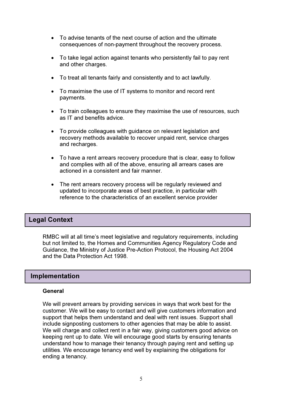- To advise tenants of the next course of action and the ultimate consequences of non-payment throughout the recovery process.
- To take legal action against tenants who persistently fail to pay rent and other charges.
- To treat all tenants fairly and consistently and to act lawfully.
- To maximise the use of IT systems to monitor and record rent payments.
- To train colleagues to ensure they maximise the use of resources, such as IT and benefits advice.
- To provide colleagues with guidance on relevant legislation and recovery methods available to recover unpaid rent, service charges and recharges.
- To have a rent arrears recovery procedure that is clear, easy to follow and complies with all of the above, ensuring all arrears cases are actioned in a consistent and fair manner.
- The rent arrears recovery process will be regularly reviewed and updated to incorporate areas of best practice, in particular with reference to the characteristics of an excellent service provider

# Legal Context

RMBC will at all time's meet legislative and regulatory requirements, including but not limited to, the Homes and Communities Agency Regulatory Code and Guidance, the Ministry of Justice Pre-Action Protocol, the Housing Act 2004 and the Data Protection Act 1998.

# Implementation

#### General

We will prevent arrears by providing services in ways that work best for the customer. We will be easy to contact and will give customers information and support that helps them understand and deal with rent issues. Support shall include signposting customers to other agencies that may be able to assist. We will charge and collect rent in a fair way, giving customers good advice on keeping rent up to date. We will encourage good starts by ensuring tenants understand how to manage their tenancy through paying rent and setting up utilities. We encourage tenancy end well by explaining the obligations for ending a tenancy.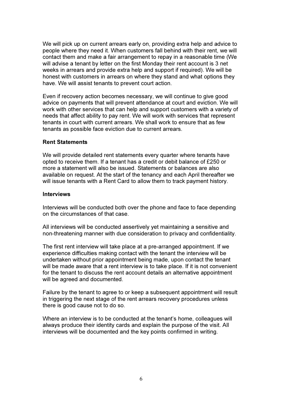We will pick up on current arrears early on, providing extra help and advice to people where they need it. When customers fall behind with their rent, we will contact them and make a fair arrangement to repay in a reasonable time (We will advise a tenant by letter on the first Monday their rent account is 3 net weeks in arrears and provide extra help and support if required). We will be honest with customers in arrears on where they stand and what options they have. We will assist tenants to prevent court action.

Even if recovery action becomes necessary, we will continue to give good advice on payments that will prevent attendance at court and eviction. We will work with other services that can help and support customers with a variety of needs that affect ability to pay rent. We will work with services that represent tenants in court with current arrears. We shall work to ensure that as few tenants as possible face eviction due to current arrears.

#### Rent Statements

We will provide detailed rent statements every quarter where tenants have opted to receive them. If a tenant has a credit or debit balance of £250 or more a statement will also be issued. Statements or balances are also available on request. At the start of the tenancy and each April thereafter we will issue tenants with a Rent Card to allow them to track payment history.

#### Interviews

Interviews will be conducted both over the phone and face to face depending on the circumstances of that case.

All interviews will be conducted assertively yet maintaining a sensitive and non-threatening manner with due consideration to privacy and confidentiality.

The first rent interview will take place at a pre-arranged appointment. If we experience difficulties making contact with the tenant the interview will be undertaken without prior appointment being made, upon contact the tenant will be made aware that a rent interview is to take place. If it is not convenient for the tenant to discuss the rent account details an alternative appointment will be agreed and documented.

Failure by the tenant to agree to or keep a subsequent appointment will result in triggering the next stage of the rent arrears recovery procedures unless there is good cause not to do so.

Where an interview is to be conducted at the tenant's home, colleagues will always produce their identity cards and explain the purpose of the visit. All interviews will be documented and the key points confirmed in writing.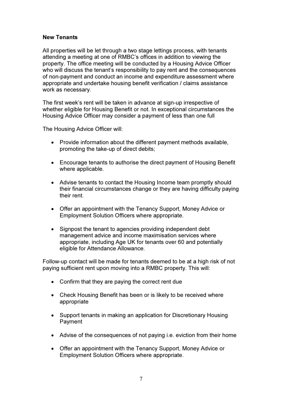#### New Tenants

All properties will be let through a two stage lettings process, with tenants attending a meeting at one of RMBC's offices in addition to viewing the property. The office meeting will be conducted by a Housing Advice Officer who will discuss the tenant's responsibility to pay rent and the consequences of non-payment and conduct an income and expenditure assessment where appropriate and undertake housing benefit verification / claims assistance work as necessary.

The first week's rent will be taken in advance at sign-up irrespective of whether eligible for Housing Benefit or not. In exceptional circumstances the Housing Advice Officer may consider a payment of less than one full

The Housing Advice Officer will:

- Provide information about the different payment methods available, promoting the take-up of direct debits;
- Encourage tenants to authorise the direct payment of Housing Benefit where applicable.
- Advise tenants to contact the Housing Income team promptly should their financial circumstances change or they are having difficulty paying their rent.
- Offer an appointment with the Tenancy Support, Money Advice or Employment Solution Officers where appropriate.
- Signpost the tenant to agencies providing independent debt management advice and income maximisation services where appropriate, including Age UK for tenants over 60 and potentially eligible for Attendance Allowance.

Follow-up contact will be made for tenants deemed to be at a high risk of not paying sufficient rent upon moving into a RMBC property. This will:

- Confirm that they are paying the correct rent due
- Check Housing Benefit has been or is likely to be received where appropriate
- Support tenants in making an application for Discretionary Housing Payment
- Advise of the consequences of not paying i.e. eviction from their home
- Offer an appointment with the Tenancy Support, Money Advice or Employment Solution Officers where appropriate.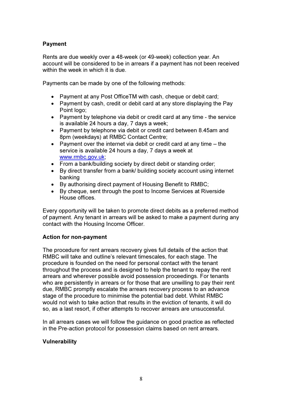#### Payment

Rents are due weekly over a 48-week (or 49-week) collection year. An account will be considered to be in arrears if a payment has not been received within the week in which it is due.

Payments can be made by one of the following methods:

- Payment at any Post OfficeTM with cash, cheque or debit card;
- Payment by cash, credit or debit card at any store displaying the Pay Point logo;
- Payment by telephone via debit or credit card at any time the service is available 24 hours a day, 7 days a week;
- Payment by telephone via debit or credit card between 8.45am and 8pm (weekdays) at RMBC Contact Centre;
- Payment over the internet via debit or credit card at any time the service is available 24 hours a day, 7 days a week at www.rmbc.gov.uk;
- From a bank/building society by direct debit or standing order;
- By direct transfer from a bank/ building society account using internet banking
- By authorising direct payment of Housing Benefit to RMBC;
- By cheque, sent through the post to Income Services at Riverside House offices.

Every opportunity will be taken to promote direct debits as a preferred method of payment. Any tenant in arrears will be asked to make a payment during any contact with the Housing Income Officer.

#### Action for non-payment

The procedure for rent arrears recovery gives full details of the action that RMBC will take and outline's relevant timescales, for each stage. The procedure is founded on the need for personal contact with the tenant throughout the process and is designed to help the tenant to repay the rent arrears and wherever possible avoid possession proceedings. For tenants who are persistently in arrears or for those that are unwilling to pay their rent due, RMBC promptly escalate the arrears recovery process to an advance stage of the procedure to minimise the potential bad debt. Whilst RMBC would not wish to take action that results in the eviction of tenants, it will do so, as a last resort, if other attempts to recover arrears are unsuccessful.

In all arrears cases we will follow the guidance on good practice as reflected in the Pre-action protocol for possession claims based on rent arrears.

#### Vulnerability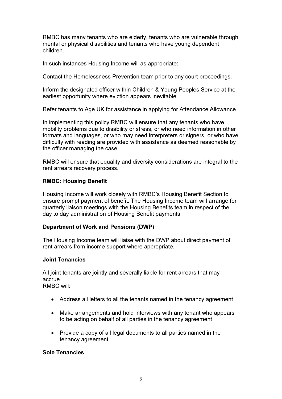RMBC has many tenants who are elderly, tenants who are vulnerable through mental or physical disabilities and tenants who have young dependent children.

In such instances Housing Income will as appropriate:

Contact the Homelessness Prevention team prior to any court proceedings.

Inform the designated officer within Children & Young Peoples Service at the earliest opportunity where eviction appears inevitable.

Refer tenants to Age UK for assistance in applying for Attendance Allowance

In implementing this policy RMBC will ensure that any tenants who have mobility problems due to disability or stress, or who need information in other formats and languages, or who may need interpreters or signers, or who have difficulty with reading are provided with assistance as deemed reasonable by the officer managing the case.

RMBC will ensure that equality and diversity considerations are integral to the rent arrears recovery process.

# RMBC: Housing Benefit

Housing Income will work closely with RMBC's Housing Benefit Section to ensure prompt payment of benefit. The Housing Income team will arrange for quarterly liaison meetings with the Housing Benefits team in respect of the day to day administration of Housing Benefit payments.

# Department of Work and Pensions (DWP)

The Housing Income team will liaise with the DWP about direct payment of rent arrears from income support where appropriate.

#### Joint Tenancies

All joint tenants are jointly and severally liable for rent arrears that may accrue.

RMBC will:

- Address all letters to all the tenants named in the tenancy agreement
- Make arrangements and hold interviews with any tenant who appears to be acting on behalf of all parties in the tenancy agreement
- Provide a copy of all legal documents to all parties named in the tenancy agreement

# Sole Tenancies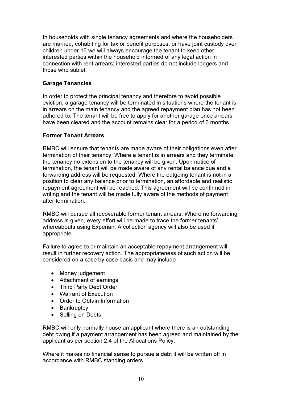In households with single tenancy agreements and where the householders are married, cohabiting for tax or benefit purposes, or have joint custody over children under 16 we will always encourage the tenant to keep other interested parties within the household informed of any legal action in connection with rent arrears; interested parties do not include lodgers and those who sublet.

# Garage Tenancies

In order to protect the principal tenancy and therefore to avoid possible eviction, a garage tenancy will be terminated in situations where the tenant is in arrears on the main tenancy and the agreed repayment plan has not been adhered to. The tenant will be free to apply for another garage once arrears have been cleared and the account remains clear for a period of 6 months.

# Former Tenant Arrears

RMBC will ensure that tenants are made aware of their obligations even after termination of their tenancy. Where a tenant is in arrears and they terminate the tenancy no extension to the tenancy will be given. Upon notice of termination, the tenant will be made aware of any rental balance due and a forwarding address will be requested. Where the outgoing tenant is not in a position to clear any balance prior to termination, an affordable and realistic repayment agreement will be reached. This agreement will be confirmed in writing and the tenant will be made fully aware of the methods of payment after termination.

RMBC will pursue all recoverable former tenant arrears. Where no forwarding address is given, every effort will be made to trace the former tenants' whereabouts using Experian. A collection agency will also be used if appropriate.

Failure to agree to or maintain an acceptable repayment arrangement will result in further recovery action. The appropriateness of such action will be considered on a case by case basis and may include

- Money judgement
- Attachment of earnings
- Third Party Debt Order
- Warrant of Execution
- Order to Obtain Information
- Bankruptcy
- Selling on Debts

RMBC will only normally house an applicant where there is an outstanding debt owing if a payment arrangement has been agreed and maintained by the applicant as per section 2.4 of the Allocations Policy.

Where it makes no financial sense to pursue a debt it will be written off in accordance with RMBC standing orders.